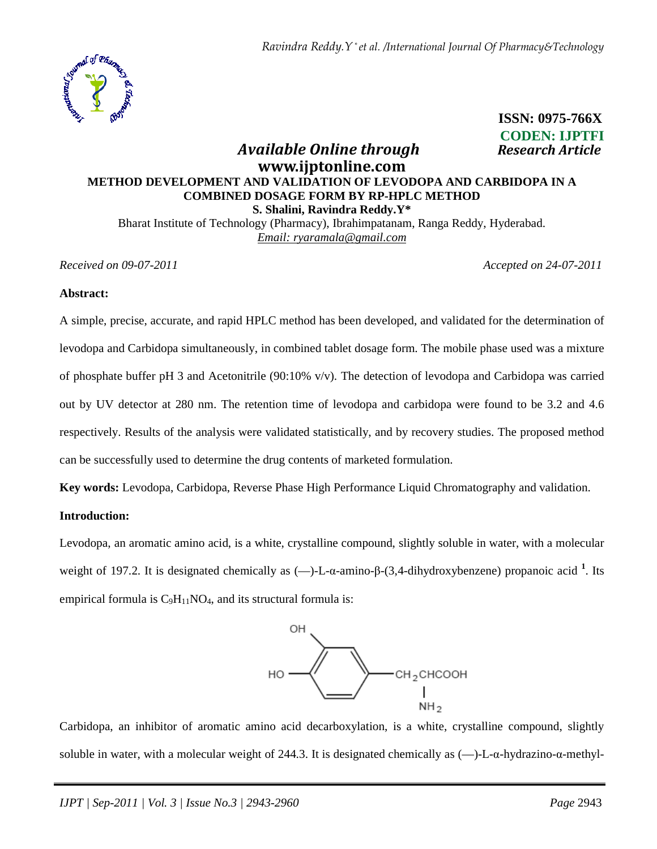

 **ISSN: 0975-766X CODEN: IJPTFI**   *Available Online through Research Article* 

# **www.ijptonline.com METHOD DEVELOPMENT AND VALIDATION OF LEVODOPA AND CARBIDOPA IN A COMBINED DOSAGE FORM BY RP-HPLC METHOD S. Shalini, Ravindra Reddy.Y\***

Bharat Institute of Technology (Pharmacy), Ibrahimpatanam, Ranga Reddy, Hyderabad. *Email: ryaramala@gmail.com*

*Received on 09-07-2011 Accepted on 24-07-2011*

#### **Abstract:**

A simple, precise, accurate, and rapid HPLC method has been developed, and validated for the determination of levodopa and Carbidopa simultaneously, in combined tablet dosage form. The mobile phase used was a mixture of phosphate buffer pH 3 and Acetonitrile (90:10% v/v). The detection of levodopa and Carbidopa was carried out by UV detector at 280 nm. The retention time of levodopa and carbidopa were found to be 3.2 and 4.6 respectively. Results of the analysis were validated statistically, and by recovery studies. The proposed method can be successfully used to determine the drug contents of marketed formulation.

**Key words:** Levodopa, Carbidopa, Reverse Phase High Performance Liquid Chromatography and validation.

## **Introduction:**

Levodopa, an aromatic amino acid, is a white, crystalline compound, slightly soluble in water, with a molecular weight of 197.2. It is designated chemically as (—)-L-α-amino-β-(3,4-dihydroxybenzene) propanoic acid <sup>1</sup>. Its empirical formula is  $C_9H_{11}NO_4$ , and its structural formula is:



Carbidopa, an inhibitor of aromatic amino acid decarboxylation, is a white, crystalline compound, slightly soluble in water, with a molecular weight of 244.3. It is designated chemically as (—)-L-α-hydrazino-α-methyl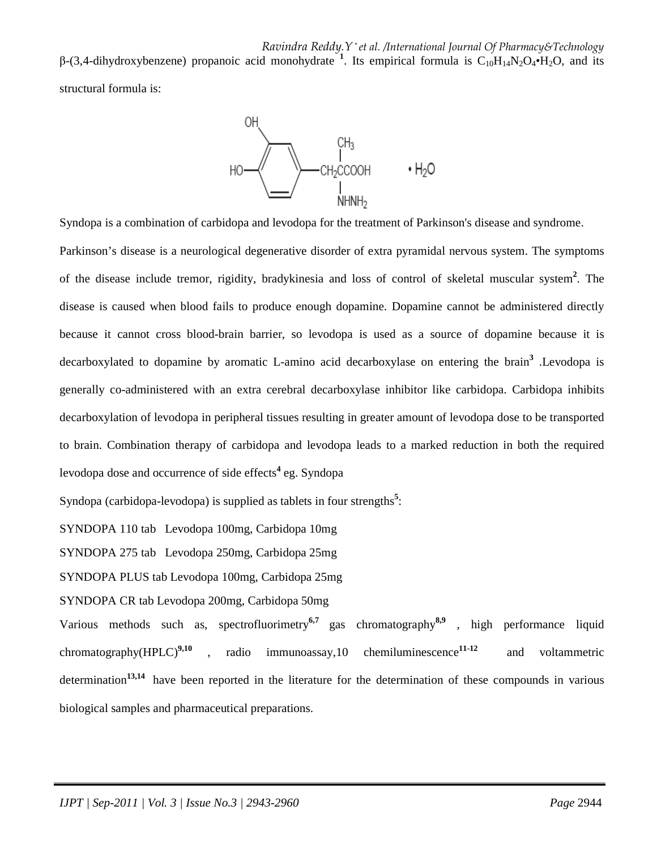*Ravindra Reddy.Y \* et al. /International Journal Of Pharmacy&Technology*

β-(3,4-dihydroxybenzene) propanoic acid monohydrate <sup>1</sup>. Its empirical formula is  $C_{10}H_{14}N_2O_4 \cdot H_2O$ , and its

structural formula is:



Syndopa is a combination of carbidopa and levodopa for the treatment of Parkinson's disease and syndrome.

Parkinson's disease is a neurological degenerative disorder of extra pyramidal nervous system. The symptoms of the disease include tremor, rigidity, bradykinesia and loss of control of skeletal muscular system**<sup>2</sup>** . The disease is caused when blood fails to produce enough dopamine. Dopamine cannot be administered directly because it cannot cross blood-brain barrier, so levodopa is used as a source of dopamine because it is decarboxylated to dopamine by aromatic L-amino acid decarboxylase on entering the brain**<sup>3</sup>** .Levodopa is generally co-administered with an extra cerebral decarboxylase inhibitor like carbidopa. Carbidopa inhibits decarboxylation of levodopa in peripheral tissues resulting in greater amount of levodopa dose to be transported to brain. Combination therapy of carbidopa and levodopa leads to a marked reduction in both the required levodopa dose and occurrence of side effects<sup>4</sup> eg. Syndopa

Syndopa (carbidopa-levodopa) is supplied as tablets in four strengths<sup>5</sup>:

SYNDOPA 110 tab Levodopa 100mg, Carbidopa 10mg

SYNDOPA 275 tab Levodopa 250mg, Carbidopa 25mg

SYNDOPA PLUS tab Levodopa 100mg, Carbidopa 25mg

SYNDOPA CR tab Levodopa 200mg, Carbidopa 50mg

Various methods such as, spectrofluorimetry**6,7** gas chromatography**8,9** , high performance liquid chromatography(HPLC)**9,10** , radio immunoassay,10 chemiluminescence**11-12** and voltammetric determination**13,14** have been reported in the literature for the determination of these compounds in various biological samples and pharmaceutical preparations.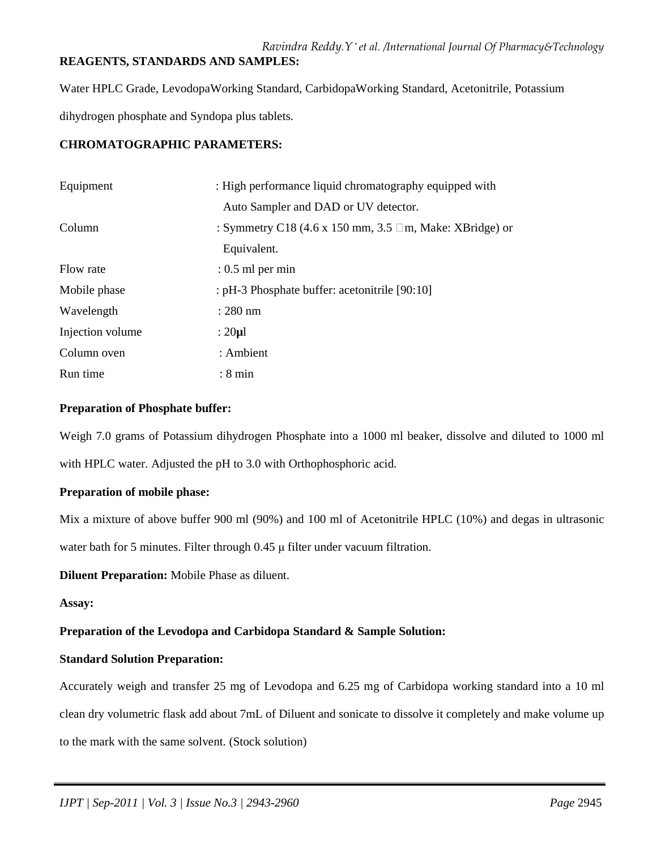## *Ravindra Reddy.Y \* et al. /International Journal Of Pharmacy&Technology* **REAGENTS, STANDARDS AND SAMPLES:**

Water HPLC Grade, LevodopaWorking Standard, CarbidopaWorking Standard, Acetonitrile, Potassium dihydrogen phosphate and Syndopa plus tablets.

## **CHROMATOGRAPHIC PARAMETERS:**

| Equipment        | : High performance liquid chromatography equipped with        |
|------------------|---------------------------------------------------------------|
|                  | Auto Sampler and DAD or UV detector.                          |
| Column           | : Symmetry C18 (4.6 x 150 mm, 3.5 $\Box$ m, Make: XBridge) or |
|                  | Equivalent.                                                   |
| Flow rate        | $: 0.5$ ml per min                                            |
| Mobile phase     | : pH-3 Phosphate buffer: acetonitrile [90:10]                 |
| Wavelength       | $: 280$ nm                                                    |
| Injection volume | : $20 \mu l$                                                  |
| Column oven      | : Ambient                                                     |
| Run time         | $: 8 \text{ min}$                                             |

#### **Preparation of Phosphate buffer:**

Weigh 7.0 grams of Potassium dihydrogen Phosphate into a 1000 ml beaker, dissolve and diluted to 1000 ml with HPLC water. Adjusted the pH to 3.0 with Orthophosphoric acid.

## **Preparation of mobile phase:**

Mix a mixture of above buffer 900 ml (90%) and 100 ml of Acetonitrile HPLC (10%) and degas in ultrasonic

water bath for 5 minutes. Filter through 0.45  $\mu$  filter under vacuum filtration.

**Diluent Preparation:** Mobile Phase as diluent.

#### **Assay:**

## **Preparation of the Levodopa and Carbidopa Standard & Sample Solution:**

## **Standard Solution Preparation:**

Accurately weigh and transfer 25 mg of Levodopa and 6.25 mg of Carbidopa working standard into a 10 ml clean dry volumetric flask add about 7mL of Diluent and sonicate to dissolve it completely and make volume up to the mark with the same solvent. (Stock solution)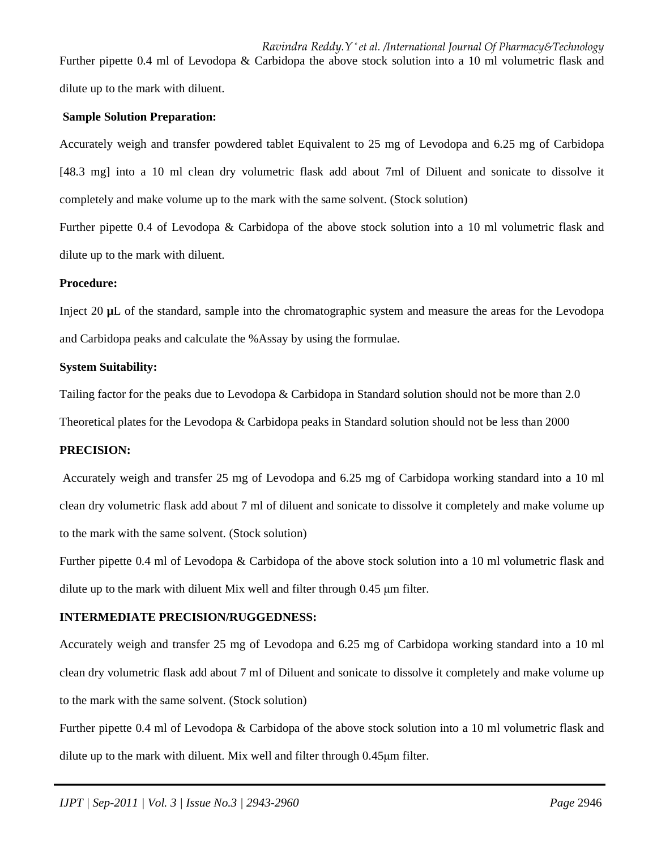*Ravindra Reddy.Y \* et al. /International Journal Of Pharmacy&Technology* Further pipette 0.4 ml of Levodopa & Carbidopa the above stock solution into a 10 ml volumetric flask and dilute up to the mark with diluent.

#### **Sample Solution Preparation:**

Accurately weigh and transfer powdered tablet Equivalent to 25 mg of Levodopa and 6.25 mg of Carbidopa [48.3 mg] into a 10 ml clean dry volumetric flask add about 7ml of Diluent and sonicate to dissolve it completely and make volume up to the mark with the same solvent. (Stock solution)

Further pipette 0.4 of Levodopa & Carbidopa of the above stock solution into a 10 ml volumetric flask and dilute up to the mark with diluent.

#### **Procedure:**

Inject 20 **µ**L of the standard, sample into the chromatographic system and measure the areas for the Levodopa and Carbidopa peaks and calculate the %Assay by using the formulae.

#### **System Suitability:**

Tailing factor for the peaks due to Levodopa & Carbidopa in Standard solution should not be more than 2.0

Theoretical plates for the Levodopa & Carbidopa peaks in Standard solution should not be less than 2000

### **PRECISION:**

 Accurately weigh and transfer 25 mg of Levodopa and 6.25 mg of Carbidopa working standard into a 10 ml clean dry volumetric flask add about 7 ml of diluent and sonicate to dissolve it completely and make volume up to the mark with the same solvent. (Stock solution)

Further pipette 0.4 ml of Levodopa & Carbidopa of the above stock solution into a 10 ml volumetric flask and dilute up to the mark with diluent Mix well and filter through 0.45 µm filter.

## **INTERMEDIATE PRECISION/RUGGEDNESS:**

Accurately weigh and transfer 25 mg of Levodopa and 6.25 mg of Carbidopa working standard into a 10 ml clean dry volumetric flask add about 7 ml of Diluent and sonicate to dissolve it completely and make volume up to the mark with the same solvent. (Stock solution)

Further pipette 0.4 ml of Levodopa & Carbidopa of the above stock solution into a 10 ml volumetric flask and dilute up to the mark with diluent. Mix well and filter through 0.45µm filter.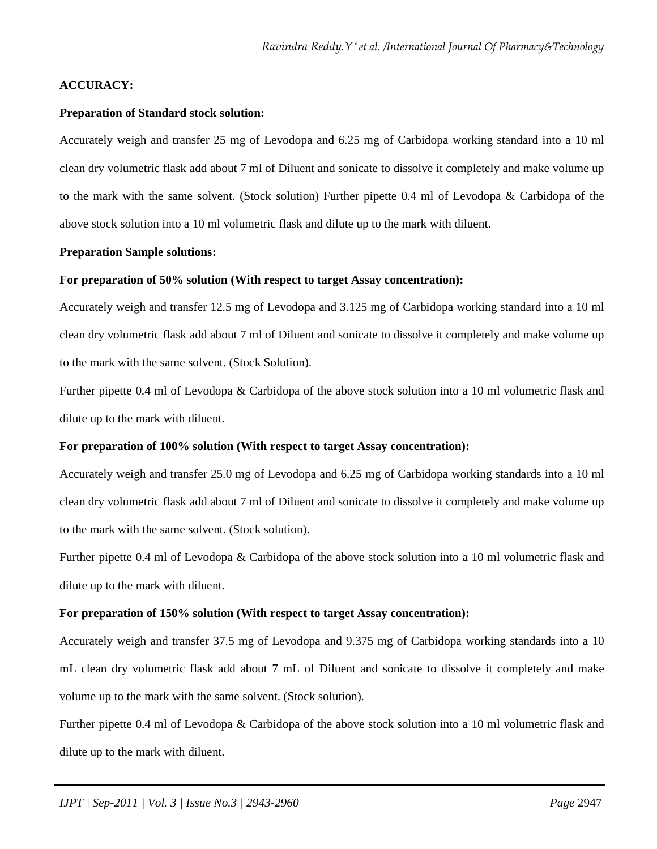## **ACCURACY:**

#### **Preparation of Standard stock solution:**

Accurately weigh and transfer 25 mg of Levodopa and 6.25 mg of Carbidopa working standard into a 10 ml clean dry volumetric flask add about 7 ml of Diluent and sonicate to dissolve it completely and make volume up to the mark with the same solvent. (Stock solution) Further pipette 0.4 ml of Levodopa & Carbidopa of the above stock solution into a 10 ml volumetric flask and dilute up to the mark with diluent.

#### **Preparation Sample solutions:**

#### **For preparation of 50% solution (With respect to target Assay concentration):**

Accurately weigh and transfer 12.5 mg of Levodopa and 3.125 mg of Carbidopa working standard into a 10 ml clean dry volumetric flask add about 7 ml of Diluent and sonicate to dissolve it completely and make volume up to the mark with the same solvent. (Stock Solution).

Further pipette 0.4 ml of Levodopa & Carbidopa of the above stock solution into a 10 ml volumetric flask and dilute up to the mark with diluent.

#### **For preparation of 100% solution (With respect to target Assay concentration):**

Accurately weigh and transfer 25.0 mg of Levodopa and 6.25 mg of Carbidopa working standards into a 10 ml clean dry volumetric flask add about 7 ml of Diluent and sonicate to dissolve it completely and make volume up to the mark with the same solvent. (Stock solution).

Further pipette 0.4 ml of Levodopa & Carbidopa of the above stock solution into a 10 ml volumetric flask and dilute up to the mark with diluent.

#### **For preparation of 150% solution (With respect to target Assay concentration):**

Accurately weigh and transfer 37.5 mg of Levodopa and 9.375 mg of Carbidopa working standards into a 10 mL clean dry volumetric flask add about 7 mL of Diluent and sonicate to dissolve it completely and make volume up to the mark with the same solvent. (Stock solution).

Further pipette 0.4 ml of Levodopa & Carbidopa of the above stock solution into a 10 ml volumetric flask and dilute up to the mark with diluent.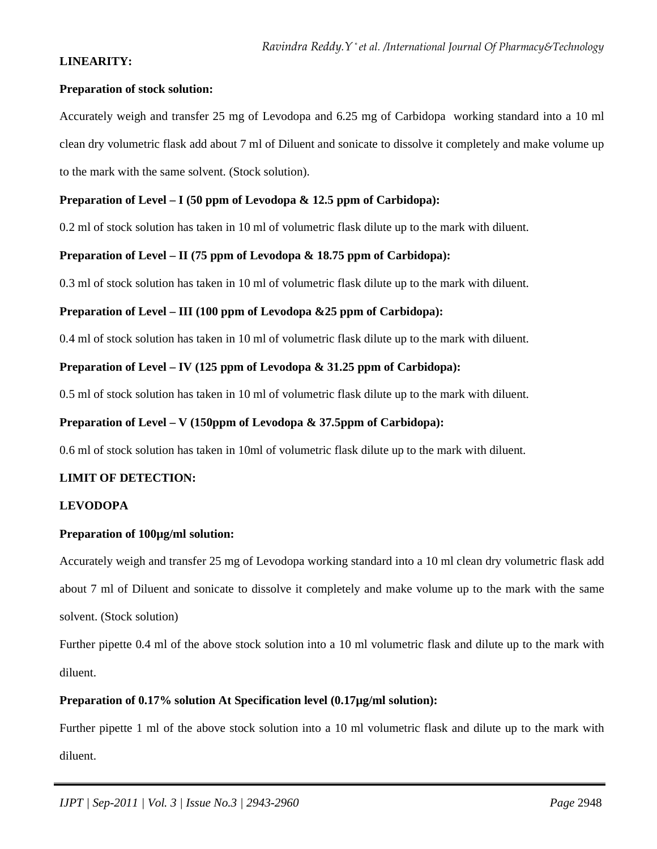## **LINEARITY:**

### **Preparation of stock solution:**

Accurately weigh and transfer 25 mg of Levodopa and 6.25 mg of Carbidopaworking standard into a 10 ml clean dry volumetric flask add about 7 ml of Diluent and sonicate to dissolve it completely and make volume up to the mark with the same solvent. (Stock solution).

## **Preparation of Level – I (50 ppm of Levodopa & 12.5 ppm of Carbidopa):**

0.2 ml of stock solution has taken in 10 ml of volumetric flask dilute up to the mark with diluent.

## **Preparation of Level – II (75 ppm of Levodopa & 18.75 ppm of Carbidopa):**

0.3 ml of stock solution has taken in 10 ml of volumetric flask dilute up to the mark with diluent.

#### **Preparation of Level – III (100 ppm of Levodopa &25 ppm of Carbidopa):**

0.4 ml of stock solution has taken in 10 ml of volumetric flask dilute up to the mark with diluent.

#### **Preparation of Level – IV (125 ppm of Levodopa & 31.25 ppm of Carbidopa):**

0.5 ml of stock solution has taken in 10 ml of volumetric flask dilute up to the mark with diluent.

### **Preparation of Level – V (150ppm of Levodopa & 37.5ppm of Carbidopa):**

0.6 ml of stock solution has taken in 10ml of volumetric flask dilute up to the mark with diluent.

#### **LIMIT OF DETECTION:**

## **LEVODOPA**

#### **Preparation of 100µg/ml solution:**

Accurately weigh and transfer 25 mg of Levodopa working standard into a 10 ml clean dry volumetric flask add about 7 ml of Diluent and sonicate to dissolve it completely and make volume up to the mark with the same solvent. (Stock solution)

Further pipette 0.4 ml of the above stock solution into a 10 ml volumetric flask and dilute up to the mark with diluent.

## **Preparation of 0.17% solution At Specification level (0.17µg/ml solution):**

Further pipette 1 ml of the above stock solution into a 10 ml volumetric flask and dilute up to the mark with diluent.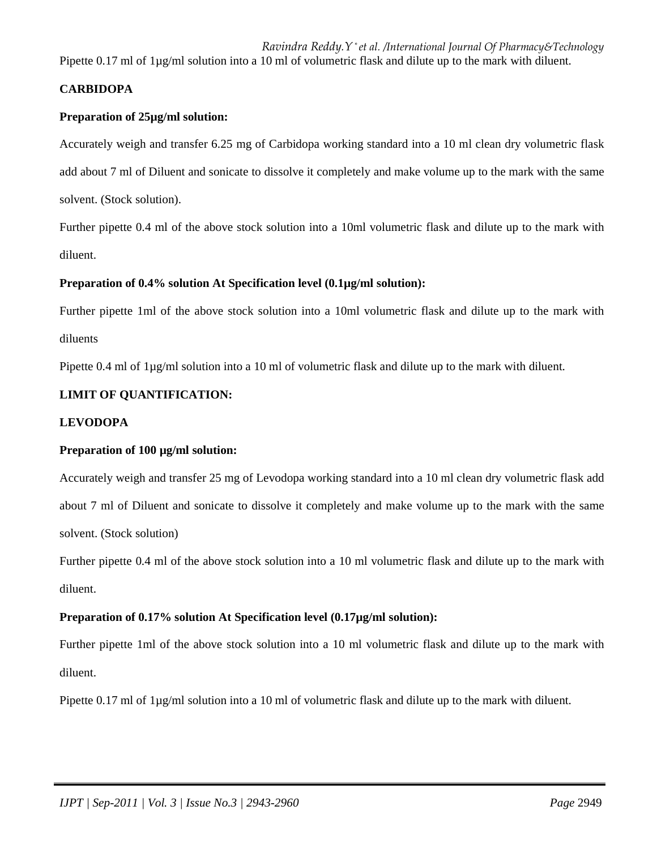*Ravindra Reddy.Y \* et al. /International Journal Of Pharmacy&Technology*

Pipette 0.17 ml of  $1\mu$ g/ml solution into a 10 ml of volumetric flask and dilute up to the mark with diluent.

## **CARBIDOPA**

## **Preparation of 25µg/ml solution:**

Accurately weigh and transfer 6.25 mg of Carbidopa working standard into a 10 ml clean dry volumetric flask add about 7 ml of Diluent and sonicate to dissolve it completely and make volume up to the mark with the same solvent. (Stock solution).

Further pipette 0.4 ml of the above stock solution into a 10ml volumetric flask and dilute up to the mark with diluent.

#### **Preparation of 0.4% solution At Specification level (0.1µg/ml solution):**

Further pipette 1ml of the above stock solution into a 10ml volumetric flask and dilute up to the mark with diluents

Pipette 0.4 ml of  $1\mu g/ml$  solution into a 10 ml of volumetric flask and dilute up to the mark with diluent.

## **LIMIT OF QUANTIFICATION:**

#### **LEVODOPA**

#### **Preparation of 100 µg/ml solution:**

Accurately weigh and transfer 25 mg of Levodopa working standard into a 10 ml clean dry volumetric flask add about 7 ml of Diluent and sonicate to dissolve it completely and make volume up to the mark with the same solvent. (Stock solution)

Further pipette 0.4 ml of the above stock solution into a 10 ml volumetric flask and dilute up to the mark with diluent.

#### **Preparation of 0.17% solution At Specification level (0.17µg/ml solution):**

Further pipette 1ml of the above stock solution into a 10 ml volumetric flask and dilute up to the mark with diluent.

Pipette 0.17 ml of 1µg/ml solution into a 10 ml of volumetric flask and dilute up to the mark with diluent.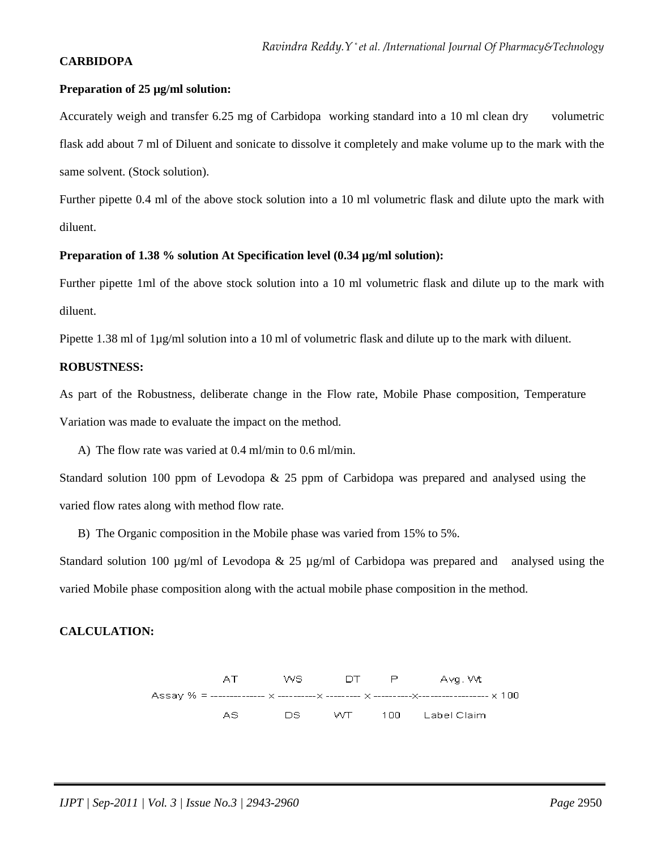## **CARBIDOPA**

#### **Preparation of 25 µg/ml solution:**

Accurately weigh and transfer 6.25 mg of Carbidopa working standard into a 10 ml clean dry volumetric flask add about 7 ml of Diluent and sonicate to dissolve it completely and make volume up to the mark with the same solvent. (Stock solution).

Further pipette 0.4 ml of the above stock solution into a 10 ml volumetric flask and dilute upto the mark with diluent.

#### Preparation of 1.38 % solution At Specification level (0.34 µg/ml solution):

Further pipette 1ml of the above stock solution into a 10 ml volumetric flask and dilute up to the mark with diluent.

Pipette 1.38 ml of 1µg/ml solution into a 10 ml of volumetric flask and dilute up to the mark with diluent.

## **ROBUSTNESS:**

As part of the Robustness, deliberate change in the Flow rate, Mobile Phase composition, Temperature Variation was made to evaluate the impact on the method.

A) The flow rate was varied at 0.4 ml/min to 0.6 ml/min.

Standard solution 100 ppm of Levodopa & 25 ppm of Carbidopa was prepared and analysed using the varied flow rates along with method flow rate.

B) The Organic composition in the Mobile phase was varied from 15% to 5%.

Standard solution 100  $\mu$ g/ml of Levodopa & 25  $\mu$ g/ml of Carbidopa was prepared and analysed using the varied Mobile phase composition along with the actual mobile phase composition in the method.

## **CALCULATION:**

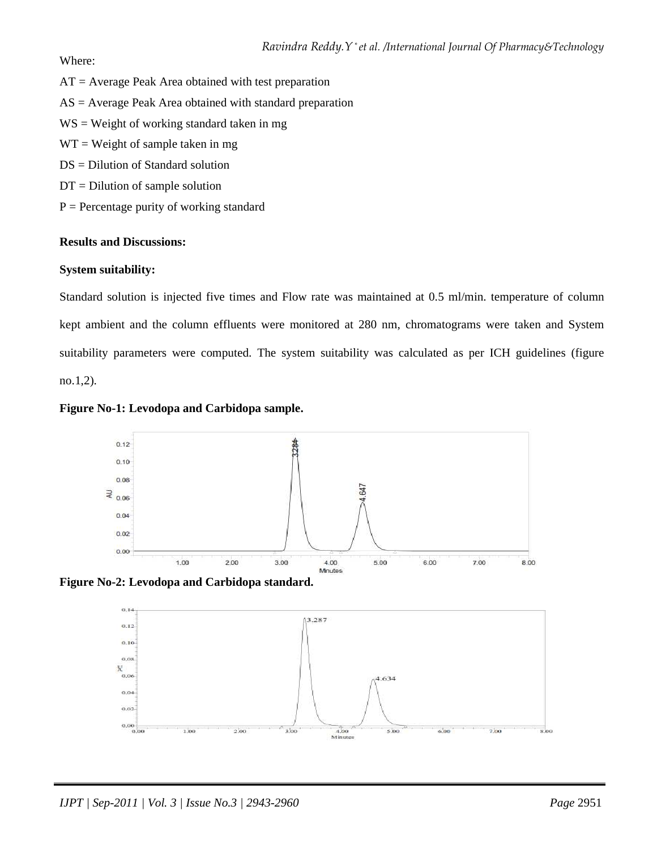Where:

- $AT = Average Peak Area obtained with test preparation$
- $AS = Average Peak Area obtained with standard preparation$
- WS = Weight of working standard taken in mg
- $WT = Weight of sample taken in mg$
- DS = Dilution of Standard solution
- $DT = Dilution of sample solution$
- $P =$  Percentage purity of working standard

## **Results and Discussions:**

## **System suitability:**

Standard solution is injected five times and Flow rate was maintained at 0.5 ml/min. temperature of column kept ambient and the column effluents were monitored at 280 nm, chromatograms were taken and System suitability parameters were computed. The system suitability was calculated as per ICH guidelines (figure no.1,2).







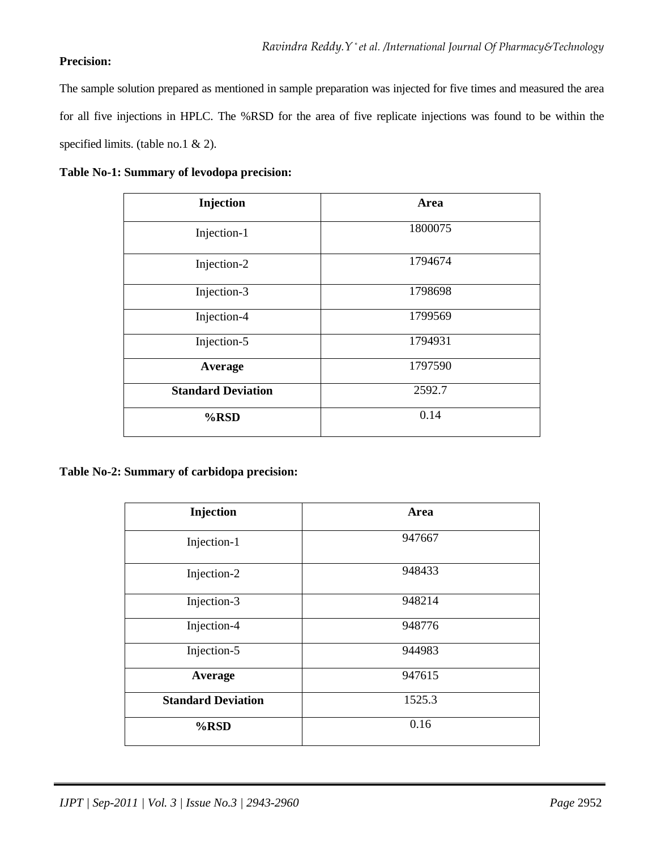## **Precision:**

The sample solution prepared as mentioned in sample preparation was injected for five times and measured the area for all five injections in HPLC. The %RSD for the area of five replicate injections was found to be within the specified limits. (table no.1 & 2).

|  |  | Table No-1: Summary of levodopa precision: |  |
|--|--|--------------------------------------------|--|
|--|--|--------------------------------------------|--|

| Injection                 | Area    |
|---------------------------|---------|
| Injection-1               | 1800075 |
| Injection-2               | 1794674 |
| Injection-3               | 1798698 |
| Injection-4               | 1799569 |
| Injection-5               | 1794931 |
| Average                   | 1797590 |
| <b>Standard Deviation</b> | 2592.7  |
| $%$ RSD                   | 0.14    |

## **Table No-2: Summary of carbidopa precision:**

| Injection                 | Area   |
|---------------------------|--------|
| Injection-1               | 947667 |
| Injection-2               | 948433 |
| Injection-3               | 948214 |
| Injection-4               | 948776 |
| Injection-5               | 944983 |
| Average                   | 947615 |
| <b>Standard Deviation</b> | 1525.3 |
| %RSD                      | 0.16   |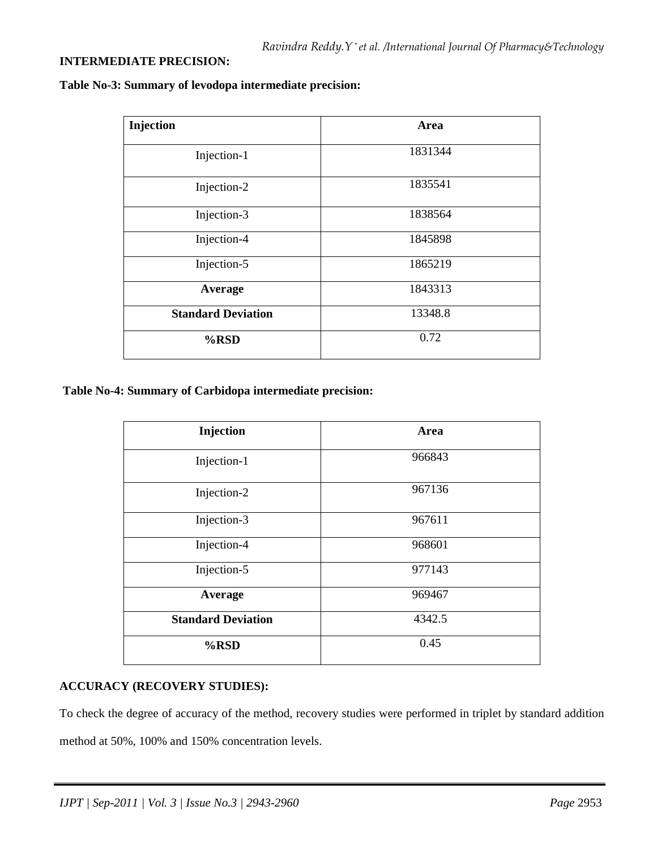## **INTERMEDIATE PRECISION:**

| Injection                 | Area    |
|---------------------------|---------|
| Injection-1               | 1831344 |
| Injection-2               | 1835541 |
| Injection-3               | 1838564 |
| Injection-4               | 1845898 |
| Injection-5               | 1865219 |
| Average                   | 1843313 |
| <b>Standard Deviation</b> | 13348.8 |
| $%$ RSD                   | 0.72    |

**Table No-3: Summary of levodopa intermediate precision:** 

 **Table No-4: Summary of Carbidopa intermediate precision:** 

| Injection                 | Area   |
|---------------------------|--------|
| Injection-1               | 966843 |
| Injection-2               | 967136 |
| Injection-3               | 967611 |
| Injection-4               | 968601 |
| Injection-5               | 977143 |
| Average                   | 969467 |
| <b>Standard Deviation</b> | 4342.5 |
| $%$ RSD                   | 0.45   |

### **ACCURACY (RECOVERY STUDIES):**

To check the degree of accuracy of the method, recovery studies were performed in triplet by standard addition method at 50%, 100% and 150% concentration levels.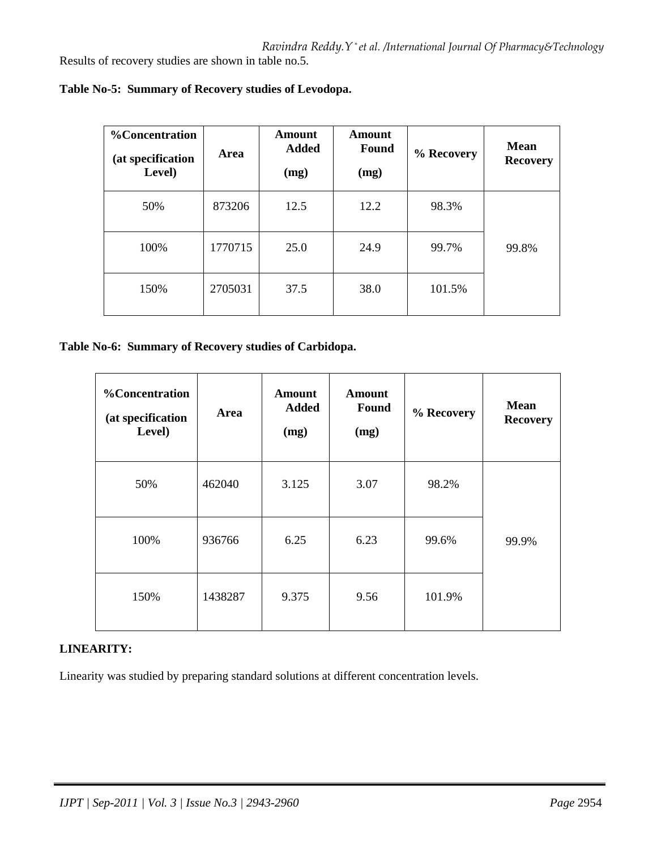Results of recovery studies are shown in table no.5.

| %Concentration<br>(at specification<br>Level) | Area    | Amount<br><b>Added</b><br>(mg) | <b>Amount</b><br>Found<br>(mg) | % Recovery | Mean<br><b>Recovery</b> |
|-----------------------------------------------|---------|--------------------------------|--------------------------------|------------|-------------------------|
| 50%                                           | 873206  | 12.5                           | 12.2                           | 98.3%      |                         |
| 100%                                          | 1770715 | 25.0                           | 24.9                           | 99.7%      | 99.8%                   |
| 150%                                          | 2705031 | 37.5                           | 38.0                           | 101.5%     |                         |

**Table No-5: Summary of Recovery studies of Levodopa.** 

## **Table No-6: Summary of Recovery studies of Carbidopa.**

| <b>%Concentration</b><br>(at specification<br>Level) | Area    | <b>Amount</b><br><b>Added</b><br>(mg) | <b>Amount</b><br>Found<br>(mg) | % Recovery | <b>Mean</b><br><b>Recovery</b> |
|------------------------------------------------------|---------|---------------------------------------|--------------------------------|------------|--------------------------------|
| 50%                                                  | 462040  | 3.125                                 | 3.07                           | 98.2%      |                                |
| 100%                                                 | 936766  | 6.25                                  | 6.23                           | 99.6%      | 99.9%                          |
| 150%                                                 | 1438287 | 9.375                                 | 9.56                           | 101.9%     |                                |

## **LINEARITY:**

Linearity was studied by preparing standard solutions at different concentration levels.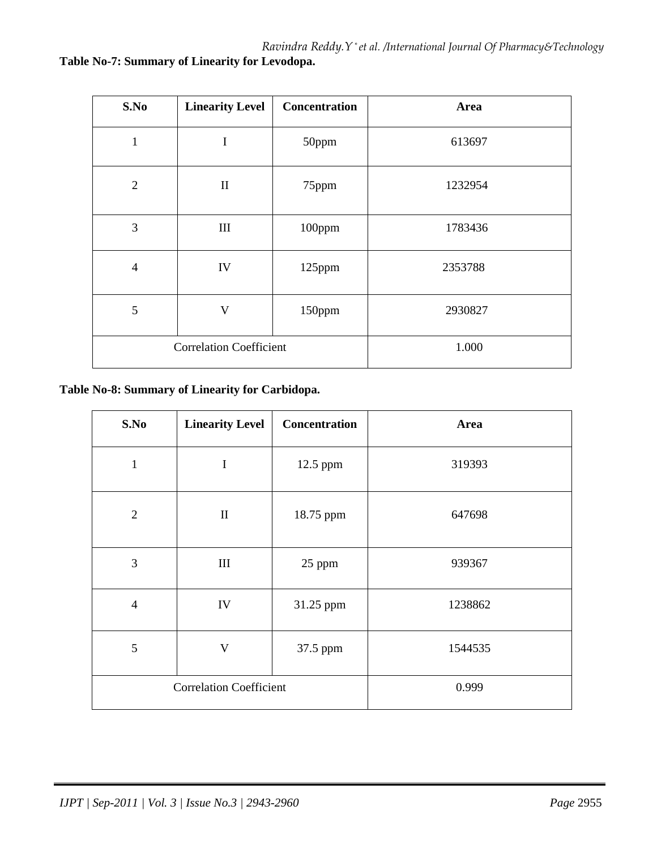| S.No           | <b>Linearity Level</b>         | <b>Concentration</b> | Area    |
|----------------|--------------------------------|----------------------|---------|
| $\mathbf{1}$   | I                              | 50ppm                | 613697  |
| $\overline{2}$ | $\mathbf{I}$                   | 75ppm                | 1232954 |
| 3              | $\rm III$                      | 100ppm               | 1783436 |
| $\overline{4}$ | IV                             | 125ppm               | 2353788 |
| 5              | V                              | 150ppm               | 2930827 |
|                | <b>Correlation Coefficient</b> |                      | 1.000   |

**Table No-8: Summary of Linearity for Carbidopa.** 

| S.No           | <b>Linearity Level</b>         | Concentration | Area    |
|----------------|--------------------------------|---------------|---------|
| $\mathbf{1}$   | $\mathbf I$                    | 12.5 ppm      | 319393  |
| $\sqrt{2}$     | $\mathbf{I}$                   | 18.75 ppm     | 647698  |
| 3              | III                            | 25 ppm        | 939367  |
| $\overline{4}$ | IV                             | 31.25 ppm     | 1238862 |
| 5              | $\mathbf V$                    | 37.5 ppm      | 1544535 |
|                | <b>Correlation Coefficient</b> |               | 0.999   |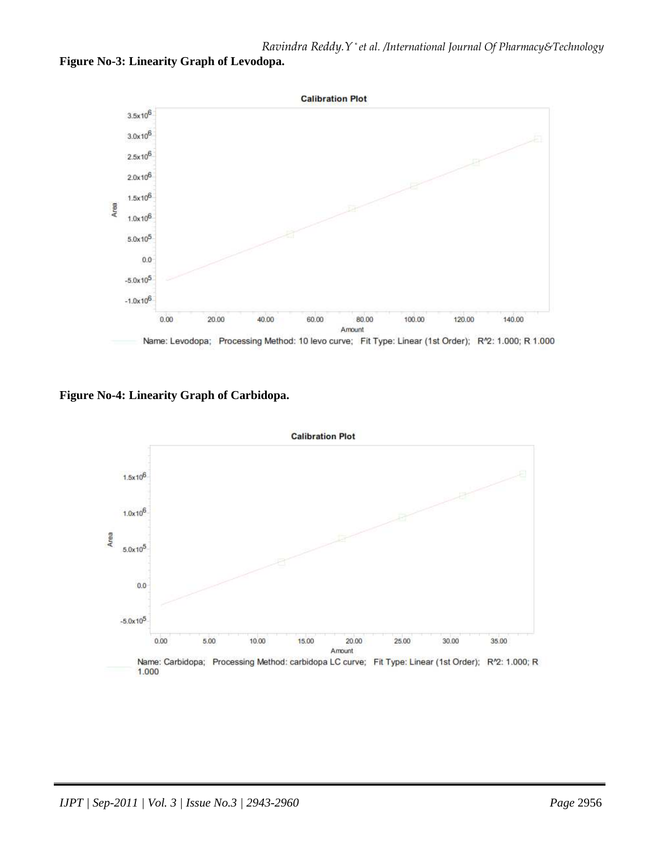



**Figure No-4: Linearity Graph of Carbidopa.** 

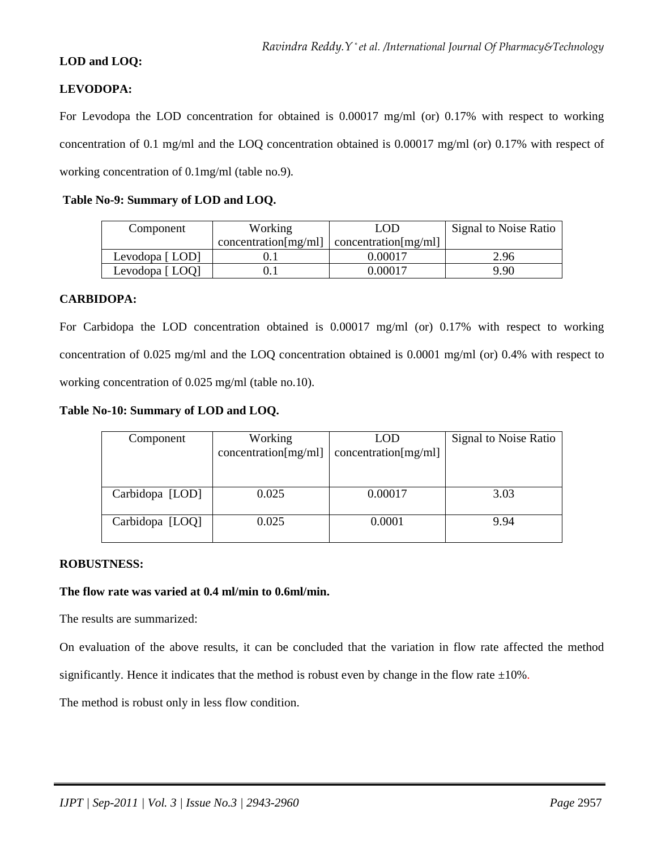## **LOD and LOQ:**

## **LEVODOPA:**

For Levodopa the LOD concentration for obtained is 0.00017 mg/ml (or) 0.17% with respect to working concentration of 0.1 mg/ml and the LOQ concentration obtained is 0.00017 mg/ml (or) 0.17% with respect of working concentration of 0.1mg/ml (table no.9).

| Table No-9: Summary of LOD and LOQ. |  |  |  |
|-------------------------------------|--|--|--|
|-------------------------------------|--|--|--|

| Component      | Working              | LOD                  | Signal to Noise Ratio |
|----------------|----------------------|----------------------|-----------------------|
|                | concentration[mg/ml] | concentration[mg/ml] |                       |
| Levodopa [LOD] |                      | 0.00017              | 2.96                  |
| Levodopa [LOQ] |                      | 0.00017              | 9.90                  |

#### **CARBIDOPA:**

For Carbidopa the LOD concentration obtained is 0.00017 mg/ml (or) 0.17% with respect to working concentration of 0.025 mg/ml and the LOQ concentration obtained is 0.0001 mg/ml (or) 0.4% with respect to working concentration of 0.025 mg/ml (table no.10).

#### **Table No-10: Summary of LOD and LOQ.**

| Component       | Working              | <b>LOD</b>           | Signal to Noise Ratio |
|-----------------|----------------------|----------------------|-----------------------|
|                 | concentration[mg/ml] | concentration[mg/ml] |                       |
|                 |                      |                      |                       |
|                 |                      |                      |                       |
| Carbidopa [LOD] | 0.025                | 0.00017              | 3.03                  |
|                 |                      |                      |                       |
| Carbidopa [LOQ] | 0.025                | 0.0001               | 9.94                  |
|                 |                      |                      |                       |

#### **ROBUSTNESS:**

#### **The flow rate was varied at 0.4 ml/min to 0.6ml/min.**

The results are summarized:

On evaluation of the above results, it can be concluded that the variation in flow rate affected the method

significantly. Hence it indicates that the method is robust even by change in the flow rate  $\pm 10\%$ .

The method is robust only in less flow condition.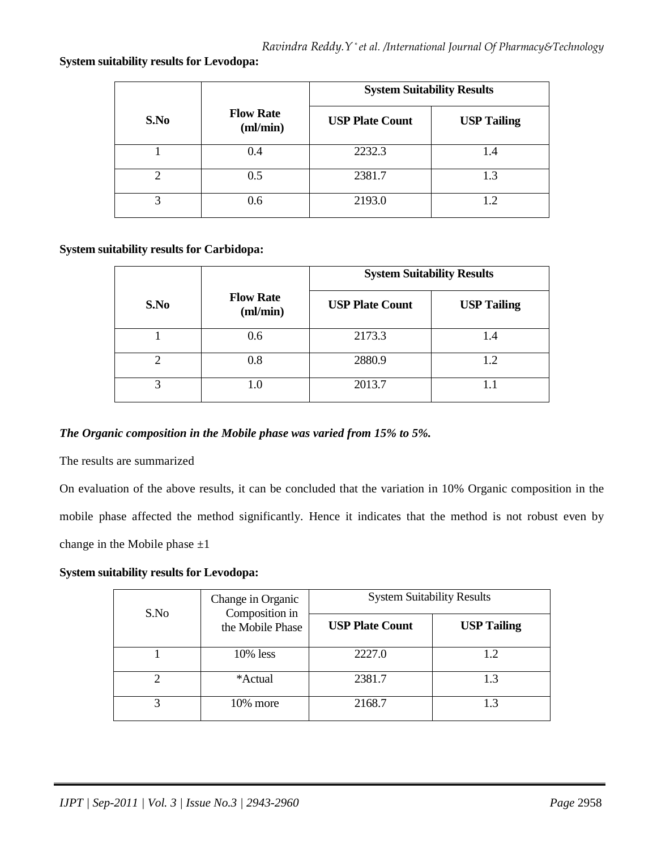#### **System suitability results for Levodopa:**

|               |                               | <b>System Suitability Results</b> |                    |
|---------------|-------------------------------|-----------------------------------|--------------------|
| S.No          | <b>Flow Rate</b><br>$m/m$ in) | <b>USP Plate Count</b>            | <b>USP Tailing</b> |
|               | 0.4                           | 2232.3                            | 1.4                |
| $\mathcal{D}$ | 0.5                           | 2381.7                            | 1.3                |
| 3             | 0.6                           | 2193.0                            | 1.2                |

#### **System suitability results for Carbidopa:**

|      |                              | <b>System Suitability Results</b> |                    |
|------|------------------------------|-----------------------------------|--------------------|
| S.No | <b>Flow Rate</b><br>(ml/min) | <b>USP Plate Count</b>            | <b>USP Tailing</b> |
|      | 0.6                          | 2173.3                            | 1.4                |
| ∍    | 0.8                          | 2880.9                            | 1.2                |
| 3    | 1.0                          | 2013.7                            | 1.1                |

## *The Organic composition in the Mobile phase was varied from 15% to 5%.*

The results are summarized

On evaluation of the above results, it can be concluded that the variation in 10% Organic composition in the mobile phase affected the method significantly. Hence it indicates that the method is not robust even by change in the Mobile phase  $\pm 1$ 

### **System suitability results for Levodopa:**

| S.No | Change in Organic<br>Composition in<br>the Mobile Phase | <b>System Suitability Results</b> |                    |
|------|---------------------------------------------------------|-----------------------------------|--------------------|
|      |                                                         | <b>USP Plate Count</b>            | <b>USP Tailing</b> |
|      | 10% less                                                | 2227.0                            | 1.2                |
|      | *Actual                                                 | 2381.7                            | 1.3                |
|      | $10\%$ more                                             | 2168.7                            | 1.3                |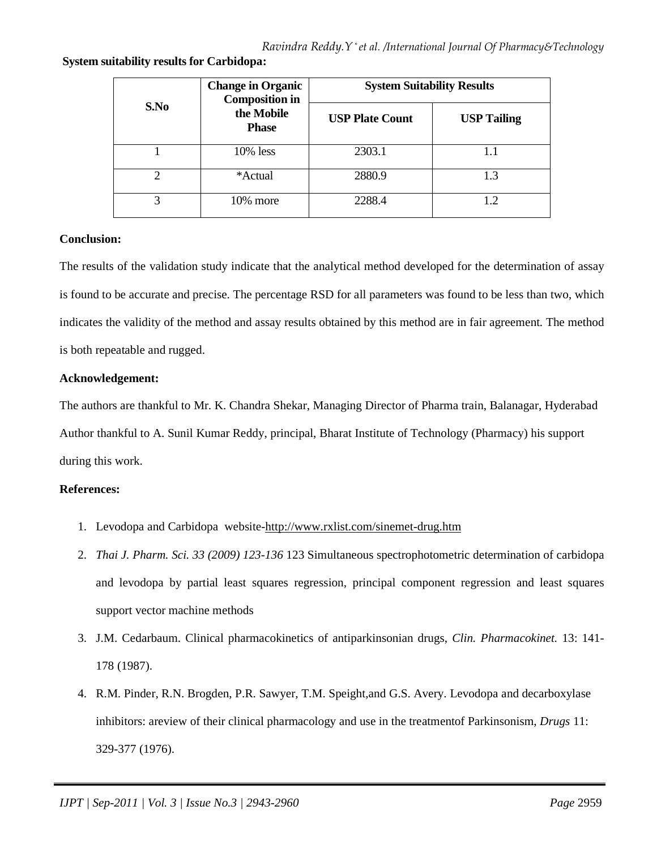**System suitability results for Carbidopa:** 

| S.No                        | <b>Change in Organic</b><br><b>Composition in</b><br>the Mobile<br><b>Phase</b> | <b>System Suitability Results</b> |                    |
|-----------------------------|---------------------------------------------------------------------------------|-----------------------------------|--------------------|
|                             |                                                                                 | <b>USP Plate Count</b>            | <b>USP Tailing</b> |
|                             | $10\%$ less                                                                     | 2303.1                            |                    |
| $\mathcal{D}_{\mathcal{A}}$ | *Actual                                                                         | 2880.9                            | 1.3                |
| 3                           | 10% more                                                                        | 2288.4                            |                    |

## **Conclusion:**

The results of the validation study indicate that the analytical method developed for the determination of assay is found to be accurate and precise. The percentage RSD for all parameters was found to be less than two, which indicates the validity of the method and assay results obtained by this method are in fair agreement. The method is both repeatable and rugged.

## **Acknowledgement:**

The authors are thankful to Mr. K. Chandra Shekar, Managing Director of Pharma train, Balanagar, Hyderabad Author thankful to A. Sunil Kumar Reddy, principal, Bharat Institute of Technology (Pharmacy) his support during this work.

## **References:**

- 1. Levodopa and Carbidopa website-http://www.rxlist.com/sinemet-drug.htm
- 2. *Thai J. Pharm. Sci. 33 (2009) 123-136* 123 Simultaneous spectrophotometric determination of carbidopa and levodopa by partial least squares regression, principal component regression and least squares support vector machine methods
- 3. J.M. Cedarbaum. Clinical pharmacokinetics of antiparkinsonian drugs, *Clin. Pharmacokinet.* 13: 141- 178 (1987).
- 4. R.M. Pinder, R.N. Brogden, P.R. Sawyer, T.M. Speight,and G.S. Avery. Levodopa and decarboxylase inhibitors: areview of their clinical pharmacology and use in the treatmentof Parkinsonism, *Drugs* 11: 329-377 (1976).